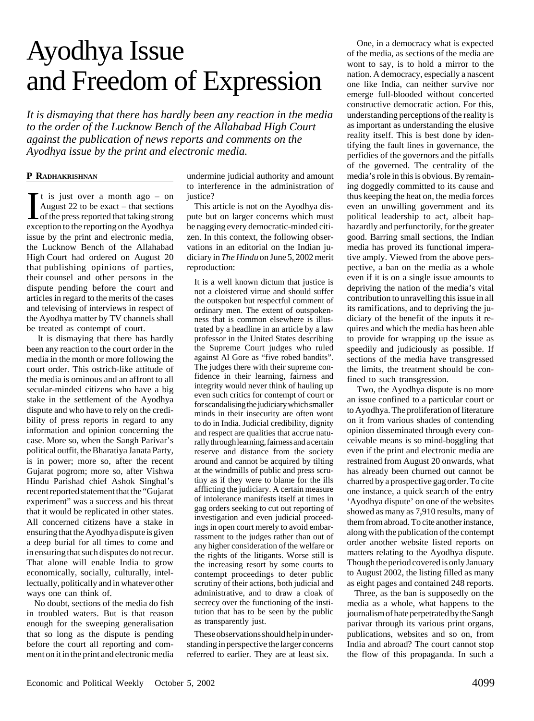## Ayodhya Issue and Freedom of Expression

*It is dismaying that there has hardly been any reaction in the media to the order of the Lucknow Bench of the Allahabad High Court against the publication of news reports and comments on the Ayodhya issue by the print and electronic media.*

## **P RADHAKRISHNAN**

 $\prod$  t is just over a month ago – on<br>August 22 to be exact – that sections<br>of the press reported that taking strong<br>exception to the reporting on the Avodhya It is just over a month ago  $-$  on August 22 to be exact – that sections exception to the reporting on the Ayodhya issue by the print and electronic media, the Lucknow Bench of the Allahabad High Court had ordered on August 20 that publishing opinions of parties, their counsel and other persons in the dispute pending before the court and articles in regard to the merits of the cases and televising of interviews in respect of the Ayodhya matter by TV channels shall be treated as contempt of court.

 It is dismaying that there has hardly been any reaction to the court order in the media in the month or more following the court order. This ostrich-like attitude of the media is ominous and an affront to all secular-minded citizens who have a big stake in the settlement of the Ayodhya dispute and who have to rely on the credibility of press reports in regard to any information and opinion concerning the case. More so, when the Sangh Parivar's political outfit, the Bharatiya Janata Party, is in power; more so, after the recent Gujarat pogrom; more so, after Vishwa Hindu Parishad chief Ashok Singhal's recent reported statement that the "Gujarat experiment" was a success and his threat that it would be replicated in other states. All concerned citizens have a stake in ensuring that the Ayodhya dispute is given a deep burial for all times to come and in ensuring that such disputes do not recur. That alone will enable India to grow economically, socially, culturally, intellectually, politically and in whatever other ways one can think of.

No doubt, sections of the media do fish in troubled waters. But is that reason enough for the sweeping generalisation that so long as the dispute is pending before the court all reporting and comment on it in the print and electronic media

undermine judicial authority and amount to interference in the administration of justice?

This article is not on the Ayodhya dispute but on larger concerns which must be nagging every democratic-minded citizen. In this context, the following observations in an editorial on the Indian judiciary in *The Hindu* on June 5, 2002 merit reproduction:

It is a well known dictum that justice is not a cloistered virtue and should suffer the outspoken but respectful comment of ordinary men. The extent of outspokenness that is common elsewhere is illustrated by a headline in an article by a law professor in the United States describing the Supreme Court judges who ruled against Al Gore as "five robed bandits". The judges there with their supreme confidence in their learning, fairness and integrity would never think of hauling up even such critics for contempt of court or for scandalising the judiciary which smaller minds in their insecurity are often wont to do in India. Judicial credibility, dignity and respect are qualities that accrue naturally through learning, fairness and a certain reserve and distance from the society around and cannot be acquired by tilting at the windmills of public and press scrutiny as if they were to blame for the ills afflicting the judiciary. A certain measure of intolerance manifests itself at times in gag orders seeking to cut out reporting of investigation and even judicial proceedings in open court merely to avoid embarrassment to the judges rather than out of any higher consideration of the welfare or the rights of the litigants. Worse still is the increasing resort by some courts to contempt proceedings to deter public scrutiny of their actions, both judicial and administrative, and to draw a cloak of secrecy over the functioning of the institution that has to be seen by the public as transparently just.

These observations should help in understanding in perspective the larger concerns referred to earlier. They are at least six.

 One, in a democracy what is expected of the media, as sections of the media are wont to say, is to hold a mirror to the nation. A democracy, especially a nascent one like India, can neither survive nor emerge full-blooded without concerted constructive democratic action. For this, understanding perceptions of the reality is as important as understanding the elusive reality itself. This is best done by identifying the fault lines in governance, the perfidies of the governors and the pitfalls of the governed. The centrality of the media's role in this is obvious. By remaining doggedly committed to its cause and thus keeping the heat on, the media forces even an unwilling government and its political leadership to act, albeit haphazardly and perfunctorily, for the greater good. Barring small sections, the Indian media has proved its functional imperative amply. Viewed from the above perspective, a ban on the media as a whole even if it is on a single issue amounts to depriving the nation of the media's vital contribution to unravelling this issue in all its ramifications, and to depriving the judiciary of the benefit of the inputs it requires and which the media has been able to provide for wrapping up the issue as speedily and judiciously as possible. If sections of the media have transgressed the limits, the treatment should be confined to such transgression.

 Two, the Ayodhya dispute is no more an issue confined to a particular court or to Ayodhya. The proliferation of literature on it from various shades of contending opinion disseminated through every conceivable means is so mind-boggling that even if the print and electronic media are restrained from August 20 onwards, what has already been churned out cannot be charred by a prospective gag order. To cite one instance, a quick search of the entry 'Ayodhya dispute' on one of the websites showed as many as 7,910 results, many of them from abroad. To cite another instance, along with the publication of the contempt order another website listed reports on matters relating to the Ayodhya dispute. Though the period covered is only January to August 2002, the listing filled as many as eight pages and contained 248 reports.

Three, as the ban is supposedly on the media as a whole, what happens to the journalism of hate perpetrated by the Sangh parivar through its various print organs, publications, websites and so on, from India and abroad? The court cannot stop the flow of this propaganda. In such a